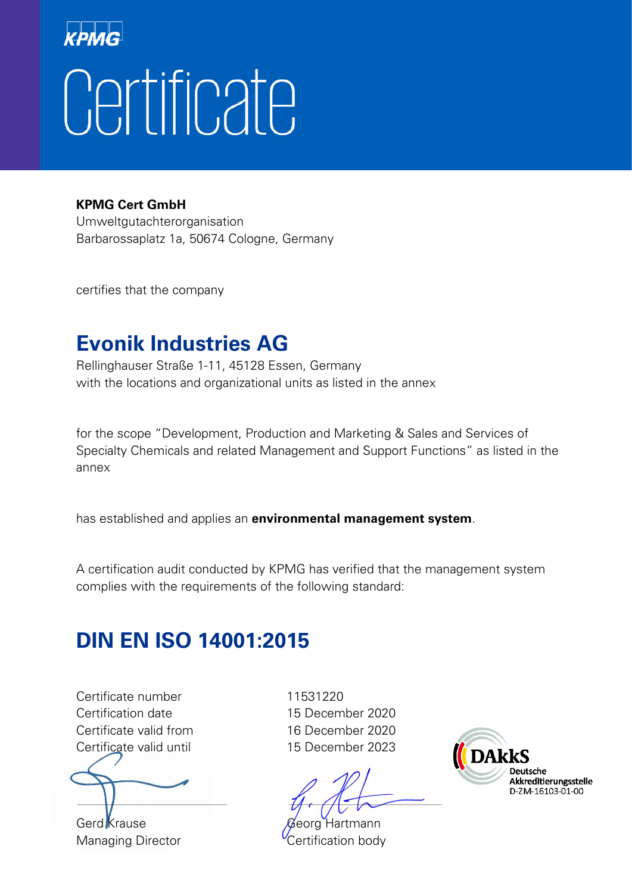# Certificate

**KPMG Cert GmbH**

Umweltgutachterorganisation Barbarossaplatz 1a, 50674 Cologne, Germany

certifies that the company

#### **Evonik Industries AG**

Rellinghauser Straße 1-11, 45128 Essen, Germany with the locations and organizational units as listed in the annex

for the scope "Development, Production and Marketing & Sales and Services of Specialty Chemicals and related Management and Support Functions" as listed in the annex

has established and applies an **environmental management system**.

A certification audit conducted by KPMG has verified that the management system complies with the requirements of the following standard:

#### **DIN EN ISO 14001:2015**

Certificate number 11531220 Certification date 15 December 2020 Certificate valid from 16 December 2020 Certificate valid until 15 December 2023

Gerd Krause Georg Hartmann Managing Director **Certification body** 

 $\Box$ 

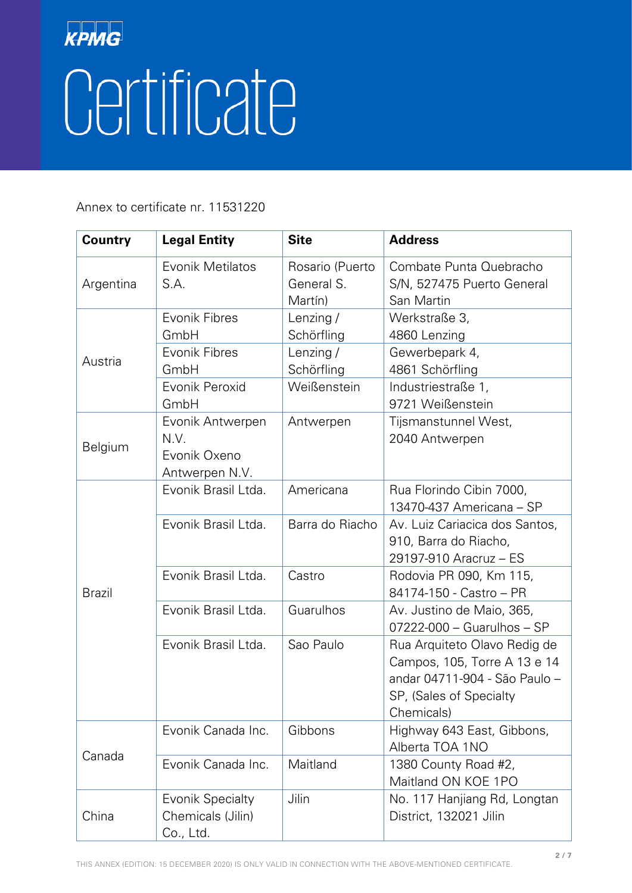| <b>Country</b> | <b>Legal Entity</b>                                        | <b>Site</b>                              | <b>Address</b>                                                                                                                         |
|----------------|------------------------------------------------------------|------------------------------------------|----------------------------------------------------------------------------------------------------------------------------------------|
| Argentina      | Evonik Metilatos<br>S.A.                                   | Rosario (Puerto<br>General S.<br>Martín) | Combate Punta Quebracho<br>S/N, 527475 Puerto General<br>San Martin                                                                    |
| Austria        | Evonik Fibres<br>GmbH                                      | Lenzing /<br>Schörfling                  | Werkstraße 3,<br>4860 Lenzing                                                                                                          |
|                | Evonik Fibres<br>GmbH                                      | Lenzing /<br>Schörfling                  | Gewerbepark 4,<br>4861 Schörfling                                                                                                      |
|                | Evonik Peroxid<br>GmbH                                     | Weißenstein                              | Industriestraße 1,<br>9721 Weißenstein                                                                                                 |
| Belgium        | Evonik Antwerpen<br>N.V.<br>Evonik Oxeno<br>Antwerpen N.V. | Antwerpen                                | Tijsmanstunnel West,<br>2040 Antwerpen                                                                                                 |
| <b>Brazil</b>  | Evonik Brasil Ltda.                                        | Americana                                | Rua Florindo Cibin 7000,<br>13470-437 Americana - SP                                                                                   |
|                | Evonik Brasil Ltda.                                        | Barra do Riacho                          | Av. Luiz Cariacica dos Santos,<br>910, Barra do Riacho,<br>29197-910 Aracruz - ES                                                      |
|                | Evonik Brasil Ltda.                                        | Castro                                   | Rodovia PR 090, Km 115,<br>84174-150 - Castro – PR                                                                                     |
|                | Evonik Brasil Ltda.                                        | Guarulhos                                | Av. Justino de Maio, 365,<br>07222-000 - Guarulhos - SP                                                                                |
|                | Evonik Brasil Ltda.                                        | Sao Paulo                                | Rua Arquiteto Olavo Redig de<br>Campos, 105, Torre A 13 e 14<br>andar 04711-904 - São Paulo -<br>SP, (Sales of Specialty<br>Chemicals) |
| Canada         | Evonik Canada Inc.                                         | Gibbons                                  | Highway 643 East, Gibbons,<br>Alberta TOA 1NO                                                                                          |
|                | Evonik Canada Inc.                                         | Maitland                                 | 1380 County Road #2,<br>Maitland ON KOE 1PO                                                                                            |
| China          | <b>Evonik Specialty</b><br>Chemicals (Jilin)<br>Co., Ltd.  | Jilin                                    | No. 117 Hanjiang Rd, Longtan<br>District, 132021 Jilin                                                                                 |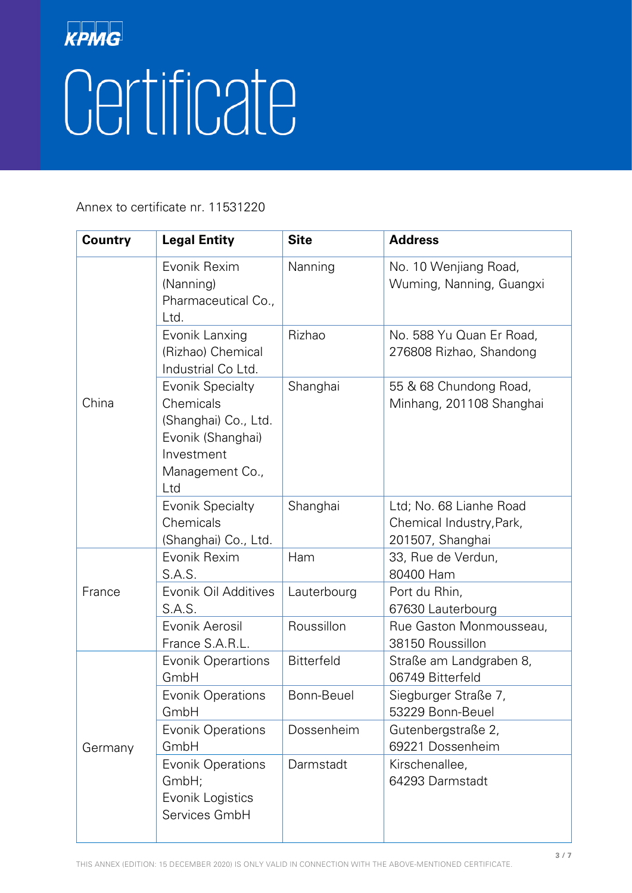| <b>Country</b> | <b>Legal Entity</b>                                                                                                       | <b>Site</b>       | <b>Address</b>                                                          |
|----------------|---------------------------------------------------------------------------------------------------------------------------|-------------------|-------------------------------------------------------------------------|
| China          | Evonik Rexim<br>(Nanning)<br>Pharmaceutical Co.,<br>Ltd.                                                                  | Nanning           | No. 10 Wenjiang Road,<br>Wuming, Nanning, Guangxi                       |
|                | Evonik Lanxing<br>(Rizhao) Chemical<br>Industrial Co Ltd.                                                                 | Rizhao            | No. 588 Yu Quan Er Road,<br>276808 Rizhao, Shandong                     |
|                | <b>Evonik Specialty</b><br>Chemicals<br>(Shanghai) Co., Ltd.<br>Evonik (Shanghai)<br>Investment<br>Management Co.,<br>Ltd | Shanghai          | 55 & 68 Chundong Road,<br>Minhang, 201108 Shanghai                      |
|                | <b>Evonik Specialty</b><br>Chemicals<br>(Shanghai) Co., Ltd.                                                              | Shanghai          | Ltd; No. 68 Lianhe Road<br>Chemical Industry, Park,<br>201507, Shanghai |
|                | Evonik Rexim<br>S.A.S.                                                                                                    | Ham               | 33, Rue de Verdun,<br>80400 Ham                                         |
| France         | Evonik Oil Additives<br>S.A.S.                                                                                            | Lauterbourg       | Port du Rhin,<br>67630 Lauterbourg                                      |
|                | Evonik Aerosil<br>France S.A.R.L.                                                                                         | Roussillon        | Rue Gaston Monmousseau,<br>38150 Roussillon                             |
| Germany        | <b>Evonik Operartions</b><br>GmbH                                                                                         | <b>Bitterfeld</b> | Straße am Landgraben 8,<br>06749 Bitterfeld                             |
|                | <b>Evonik Operations</b><br>GmbH                                                                                          | Bonn-Beuel        | Siegburger Straße 7,<br>53229 Bonn-Beuel                                |
|                | <b>Evonik Operations</b><br>GmbH                                                                                          | Dossenheim        | Gutenbergstraße 2,<br>69221 Dossenheim                                  |
|                | <b>Evonik Operations</b><br>GmbH;<br>Evonik Logistics<br>Services GmbH                                                    | Darmstadt         | Kirschenallee,<br>64293 Darmstadt                                       |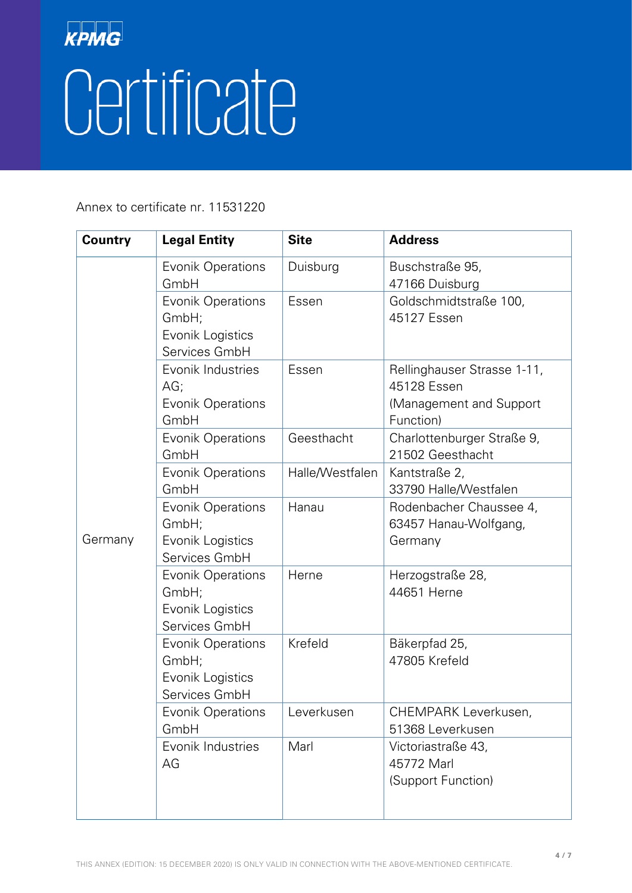| <b>Country</b> | <b>Legal Entity</b>                                                    | <b>Site</b>     | <b>Address</b>                                                                      |
|----------------|------------------------------------------------------------------------|-----------------|-------------------------------------------------------------------------------------|
|                | <b>Evonik Operations</b><br>GmbH                                       | Duisburg        | Buschstraße 95,<br>47166 Duisburg                                                   |
|                | <b>Evonik Operations</b><br>GmbH;<br>Evonik Logistics<br>Services GmbH | Essen           | Goldschmidtstraße 100,<br>45127 Essen                                               |
|                | Evonik Industries<br>AG;<br><b>Evonik Operations</b><br>GmbH           | Essen           | Rellinghauser Strasse 1-11,<br>45128 Essen<br>(Management and Support)<br>Function) |
|                | <b>Evonik Operations</b><br>GmbH                                       | Geesthacht      | Charlottenburger Straße 9,<br>21502 Geesthacht                                      |
|                | <b>Evonik Operations</b><br>GmbH                                       | Halle/Westfalen | Kantstraße 2,<br>33790 Halle/Westfalen                                              |
| Germany        | <b>Evonik Operations</b><br>GmbH;<br>Evonik Logistics<br>Services GmbH | Hanau           | Rodenbacher Chaussee 4,<br>63457 Hanau-Wolfgang,<br>Germany                         |
|                | <b>Evonik Operations</b><br>GmbH;<br>Evonik Logistics<br>Services GmbH | Herne           | Herzogstraße 28,<br>44651 Herne                                                     |
|                | Evonik Operations<br>GmbH;<br>Evonik Logistics<br>Services GmbH        | Krefeld         | Bäkerpfad 25,<br>47805 Krefeld                                                      |
|                | <b>Evonik Operations</b><br>GmbH                                       | Leverkusen      | CHEMPARK Leverkusen,<br>51368 Leverkusen                                            |
|                | Evonik Industries<br>AG                                                | Marl            | Victoriastraße 43,<br>45772 Marl<br>(Support Function)                              |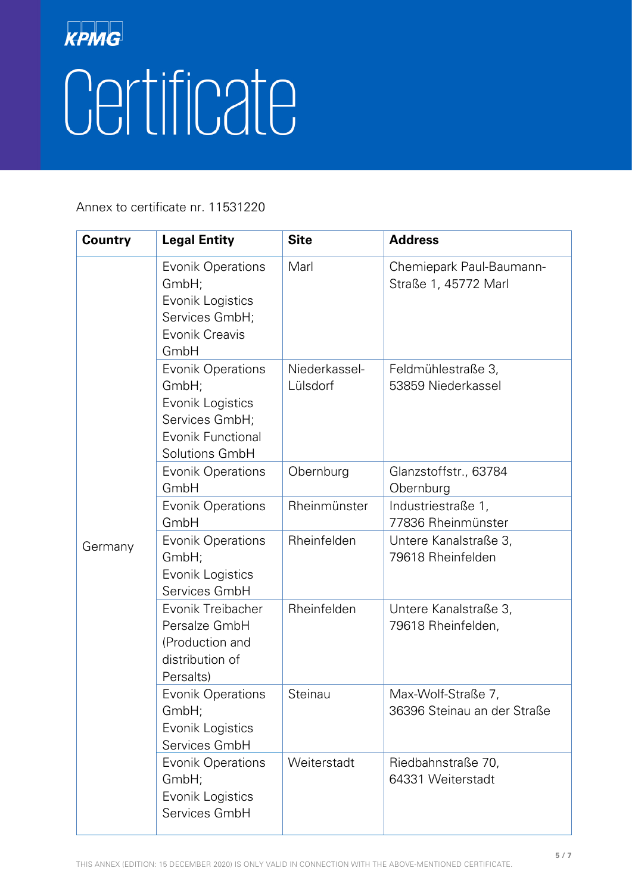| <b>Country</b> | <b>Legal Entity</b>                                                                                            | <b>Site</b>               | <b>Address</b>                                    |
|----------------|----------------------------------------------------------------------------------------------------------------|---------------------------|---------------------------------------------------|
|                | <b>Evonik Operations</b><br>GmbH;<br>Evonik Logistics<br>Services GmbH;<br>Evonik Creavis<br>GmbH              | Marl                      | Chemiepark Paul-Baumann-<br>Straße 1, 45772 Marl  |
|                | <b>Evonik Operations</b><br>GmbH;<br>Evonik Logistics<br>Services GmbH;<br>Evonik Functional<br>Solutions GmbH | Niederkassel-<br>Lülsdorf | Feldmühlestraße 3,<br>53859 Niederkassel          |
|                | <b>Evonik Operations</b><br>GmbH                                                                               | Obernburg                 | Glanzstoffstr., 63784<br>Obernburg                |
|                | Evonik Operations<br>GmbH                                                                                      | Rheinmünster              | Industriestraße 1,<br>77836 Rheinmünster          |
| Germany        | <b>Evonik Operations</b><br>GmbH;<br>Evonik Logistics<br>Services GmbH                                         | Rheinfelden               | Untere Kanalstraße 3,<br>79618 Rheinfelden        |
|                | Evonik Treibacher<br>Persalze GmbH<br>(Production and<br>distribution of<br>Persalts)                          | Rheinfelden               | Untere Kanalstraße 3,<br>79618 Rheinfelden,       |
|                | <b>Evonik Operations</b><br>GmbH;<br>Evonik Logistics<br>Services GmbH                                         | Steinau                   | Max-Wolf-Straße 7,<br>36396 Steinau an der Straße |
|                | <b>Evonik Operations</b><br>GmbH;<br>Evonik Logistics<br>Services GmbH                                         | Weiterstadt               | Riedbahnstraße 70,<br>64331 Weiterstadt           |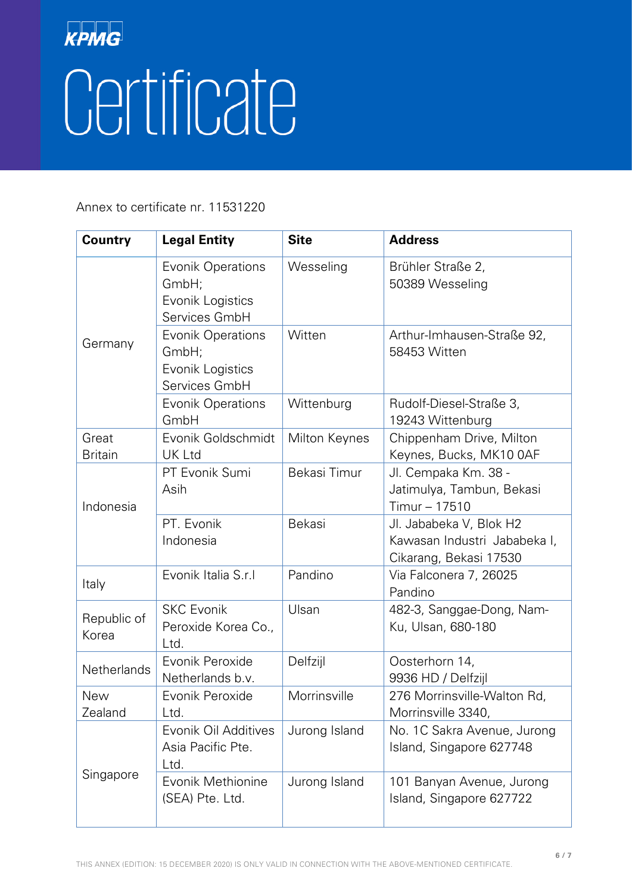| <b>Country</b>          | <b>Legal Entity</b>                                                    | <b>Site</b>   | <b>Address</b>                                                                    |
|-------------------------|------------------------------------------------------------------------|---------------|-----------------------------------------------------------------------------------|
| Germany                 | <b>Evonik Operations</b><br>GmbH;<br>Evonik Logistics<br>Services GmbH | Wesseling     | Brühler Straße 2,<br>50389 Wesseling                                              |
|                         | <b>Evonik Operations</b><br>GmbH;<br>Evonik Logistics<br>Services GmbH | Witten        | Arthur-Imhausen-Straße 92,<br>58453 Witten                                        |
|                         | <b>Evonik Operations</b><br>GmbH                                       | Wittenburg    | Rudolf-Diesel-Straße 3,<br>19243 Wittenburg                                       |
| Great<br><b>Britain</b> | Evonik Goldschmidt<br>UK Ltd                                           | Milton Keynes | Chippenham Drive, Milton<br>Keynes, Bucks, MK10 0AF                               |
| Indonesia               | PT Evonik Sumi<br>Asih                                                 | Bekasi Timur  | Jl. Cempaka Km. 38 -<br>Jatimulya, Tambun, Bekasi<br>Timur - 17510                |
|                         | PT. Evonik<br>Indonesia                                                | <b>Bekasi</b> | Jl. Jababeka V, Blok H2<br>Kawasan Industri Jababeka I,<br>Cikarang, Bekasi 17530 |
| Italy                   | Evonik Italia S.r.I                                                    | Pandino       | Via Falconera 7, 26025<br>Pandino                                                 |
| Republic of<br>Korea    | <b>SKC Evonik</b><br>Peroxide Korea Co.,<br>Ltd.                       | Ulsan         | 482-3, Sanggae-Dong, Nam-<br>Ku, Ulsan, 680-180                                   |
| Netherlands             | Evonik Peroxide<br>Netherlands b.v.                                    | Delfzijl      | Oosterhorn 14,<br>9936 HD / Delfzijl                                              |
| <b>New</b><br>Zealand   | Evonik Peroxide<br>Ltd.                                                | Morrinsville  | 276 Morrinsville-Walton Rd,<br>Morrinsville 3340,                                 |
| Singapore               | Evonik Oil Additives<br>Asia Pacific Pte.<br>Ltd.                      | Jurong Island | No. 1C Sakra Avenue, Jurong<br>Island, Singapore 627748                           |
|                         | Evonik Methionine<br>(SEA) Pte. Ltd.                                   | Jurong Island | 101 Banyan Avenue, Jurong<br>Island, Singapore 627722                             |